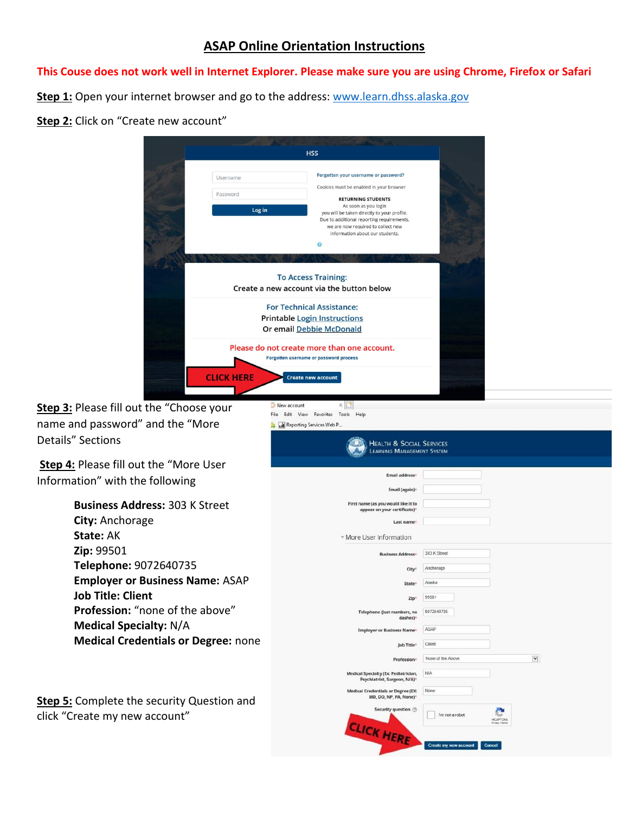## **ASAP Online Orientation Instructions**

## **This Couse does not work well in Internet Explorer. Please make sure you are using Chrome, Firefox or Safari**

**Step 1:** Open your internet browser and go to the address: [www.learn.dhss.alaska.gov](http://www.learn.dhss.alaska.gov/)

## **Step 2:** Click on "Create new account"

|                                                                                                          | <b>HSS</b>                                                                                                                                                                                                                                                                                                     |                                     |
|----------------------------------------------------------------------------------------------------------|----------------------------------------------------------------------------------------------------------------------------------------------------------------------------------------------------------------------------------------------------------------------------------------------------------------|-------------------------------------|
| Username<br>Password<br>Log in                                                                           | Forgotten your username or password?<br>Cookies must be enabled in your browser<br><b>RETURNING STUDENTS</b><br>As soon as you login<br>you will be taken directly to your profile.<br>Due to additional reporting requirements,<br>we are now required to collect new<br>information about our students.<br>ด |                                     |
|                                                                                                          | <b>To Access Training:</b><br>Create a new account via the button below<br><b>For Technical Assistance:</b><br><b>Printable Login Instructions</b>                                                                                                                                                             |                                     |
| <b>CLICK HERE</b>                                                                                        | <b>Or email Debbie McDonald</b><br>Please do not create more than one account.<br>Forgotten username or password process<br><b>Create new account</b>                                                                                                                                                          |                                     |
| Step 3: Please fill out the "Choose your<br>name and password" and the "More<br><b>Details" Sections</b> | New account<br>$\times$<br>File Edit View Favorites Tools Help<br><b>ME</b> Reporting Services Web P<br><b>HEALTH &amp; SOCIAL SERVICES</b>                                                                                                                                                                    |                                     |
| Step 4: Please fill out the "More User<br>Information" with the following                                | LEARNING MANAGEMENT SYSTEM<br>Email address <sup>®</sup><br>Email (again)*                                                                                                                                                                                                                                     |                                     |
| <b>Business Address: 303 K Street</b><br>City: Anchorage<br>State: AK                                    | First name (as you would like it to<br>appear on your certificate)*<br>Last name<br>- More User Information                                                                                                                                                                                                    |                                     |
| Zip: 99501<br>Telephone: 9072640735<br><b>Employer or Business Name: ASAP</b>                            | <b>Business Address*</b><br>City<br>State                                                                                                                                                                                                                                                                      | 303 K Street<br>Anchorage<br>Alaska |
| <b>Job Title: Client</b><br>Profession: "none of the above"<br><b>Medical Specialty: N/A</b>             | Zip'<br>Telephone (Just numbers, no<br>dashes)<br><b>Employer or Business Name*</b>                                                                                                                                                                                                                            | 99501<br>9072640735<br>ASAP         |
| <b>Medical Credentials or Degree: none</b>                                                               |                                                                                                                                                                                                                                                                                                                |                                     |

Profession\* None of the Above

N/A

I'm not a robot

Medical Specialty (Ex: Pediatrician,<br>Psychiatrist, Surgeon, N/A)\*

CLICK HERE

cal Credentials or Degree (EX: None<br>MD, DO, NP, PA, None)\* Security question (2)

 $\overline{\phantom{0}}$ 

**Step 5:** Complete the security Question and click "Create my new account"